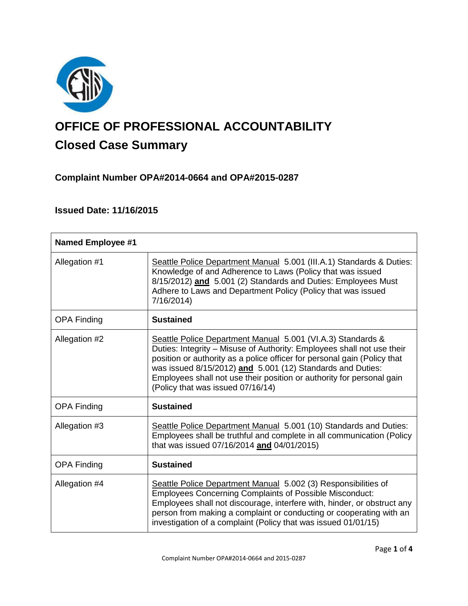

# **OFFICE OF PROFESSIONAL ACCOUNTABILITY Closed Case Summary**

# **Complaint Number OPA#2014-0664 and OPA#2015-0287**

# **Issued Date: 11/16/2015**

| <b>Named Employee #1</b> |                                                                                                                                                                                                                                                                                                                                                                                               |
|--------------------------|-----------------------------------------------------------------------------------------------------------------------------------------------------------------------------------------------------------------------------------------------------------------------------------------------------------------------------------------------------------------------------------------------|
| Allegation #1            | Seattle Police Department Manual 5.001 (III.A.1) Standards & Duties:<br>Knowledge of and Adherence to Laws (Policy that was issued<br>8/15/2012) and 5.001 (2) Standards and Duties: Employees Must<br>Adhere to Laws and Department Policy (Policy that was issued<br>7/16/2014)                                                                                                             |
| <b>OPA Finding</b>       | <b>Sustained</b>                                                                                                                                                                                                                                                                                                                                                                              |
| Allegation #2            | Seattle Police Department Manual 5.001 (VI.A.3) Standards &<br>Duties: Integrity - Misuse of Authority: Employees shall not use their<br>position or authority as a police officer for personal gain (Policy that<br>was issued 8/15/2012) and 5.001 (12) Standards and Duties:<br>Employees shall not use their position or authority for personal gain<br>(Policy that was issued 07/16/14) |
| <b>OPA Finding</b>       | <b>Sustained</b>                                                                                                                                                                                                                                                                                                                                                                              |
| Allegation #3            | Seattle Police Department Manual 5.001 (10) Standards and Duties:<br>Employees shall be truthful and complete in all communication (Policy<br>that was issued 07/16/2014 and 04/01/2015)                                                                                                                                                                                                      |
| <b>OPA Finding</b>       | <b>Sustained</b>                                                                                                                                                                                                                                                                                                                                                                              |
| Allegation #4            | Seattle Police Department Manual 5.002 (3) Responsibilities of<br><b>Employees Concerning Complaints of Possible Misconduct:</b><br>Employees shall not discourage, interfere with, hinder, or obstruct any<br>person from making a complaint or conducting or cooperating with an<br>investigation of a complaint (Policy that was issued 01/01/15)                                          |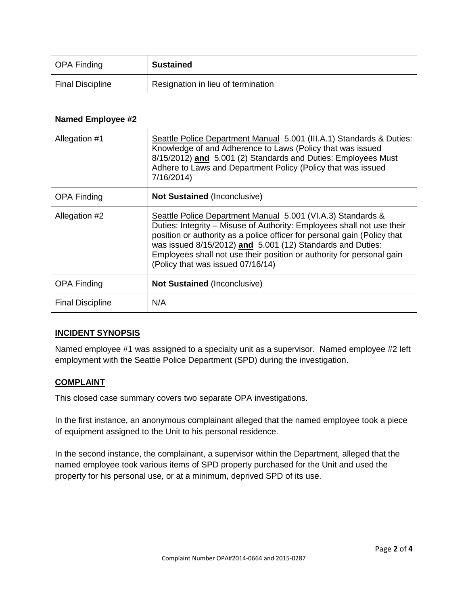| OPA Finding             | <b>Sustained</b>                   |
|-------------------------|------------------------------------|
| <b>Final Discipline</b> | Resignation in lieu of termination |

| <b>Named Employee #2</b> |                                                                                                                                                                                                                                                                                                                                                                                               |
|--------------------------|-----------------------------------------------------------------------------------------------------------------------------------------------------------------------------------------------------------------------------------------------------------------------------------------------------------------------------------------------------------------------------------------------|
| Allegation #1            | Seattle Police Department Manual 5.001 (III.A.1) Standards & Duties:<br>Knowledge of and Adherence to Laws (Policy that was issued<br>8/15/2012) and 5.001 (2) Standards and Duties: Employees Must<br>Adhere to Laws and Department Policy (Policy that was issued<br>7/16/2014)                                                                                                             |
| <b>OPA Finding</b>       | <b>Not Sustained (Inconclusive)</b>                                                                                                                                                                                                                                                                                                                                                           |
| Allegation #2            | Seattle Police Department Manual 5.001 (VI.A.3) Standards &<br>Duties: Integrity – Misuse of Authority: Employees shall not use their<br>position or authority as a police officer for personal gain (Policy that<br>was issued 8/15/2012) and 5.001 (12) Standards and Duties:<br>Employees shall not use their position or authority for personal gain<br>(Policy that was issued 07/16/14) |
| <b>OPA Finding</b>       | <b>Not Sustained (Inconclusive)</b>                                                                                                                                                                                                                                                                                                                                                           |
| <b>Final Discipline</b>  | N/A                                                                                                                                                                                                                                                                                                                                                                                           |

# **INCIDENT SYNOPSIS**

Named employee #1 was assigned to a specialty unit as a supervisor. Named employee #2 left employment with the Seattle Police Department (SPD) during the investigation.

# **COMPLAINT**

This closed case summary covers two separate OPA investigations.

In the first instance, an anonymous complainant alleged that the named employee took a piece of equipment assigned to the Unit to his personal residence.

In the second instance, the complainant, a supervisor within the Department, alleged that the named employee took various items of SPD property purchased for the Unit and used the property for his personal use, or at a minimum, deprived SPD of its use.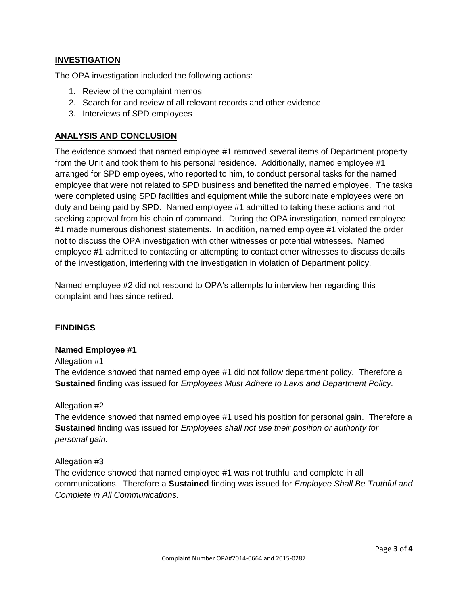# **INVESTIGATION**

The OPA investigation included the following actions:

- 1. Review of the complaint memos
- 2. Search for and review of all relevant records and other evidence
- 3. Interviews of SPD employees

# **ANALYSIS AND CONCLUSION**

The evidence showed that named employee #1 removed several items of Department property from the Unit and took them to his personal residence. Additionally, named employee #1 arranged for SPD employees, who reported to him, to conduct personal tasks for the named employee that were not related to SPD business and benefited the named employee. The tasks were completed using SPD facilities and equipment while the subordinate employees were on duty and being paid by SPD. Named employee #1 admitted to taking these actions and not seeking approval from his chain of command. During the OPA investigation, named employee #1 made numerous dishonest statements. In addition, named employee #1 violated the order not to discuss the OPA investigation with other witnesses or potential witnesses. Named employee #1 admitted to contacting or attempting to contact other witnesses to discuss details of the investigation, interfering with the investigation in violation of Department policy.

Named employee #2 did not respond to OPA's attempts to interview her regarding this complaint and has since retired.

# **FINDINGS**

#### **Named Employee #1**

Allegation #1

The evidence showed that named employee #1 did not follow department policy. Therefore a **Sustained** finding was issued for *Employees Must Adhere to Laws and Department Policy.*

#### Allegation #2

The evidence showed that named employee #1 used his position for personal gain. Therefore a **Sustained** finding was issued for *Employees shall not use their position or authority for personal gain.*

# Allegation #3

The evidence showed that named employee #1 was not truthful and complete in all communications. Therefore a **Sustained** finding was issued for *Employee Shall Be Truthful and Complete in All Communications.*